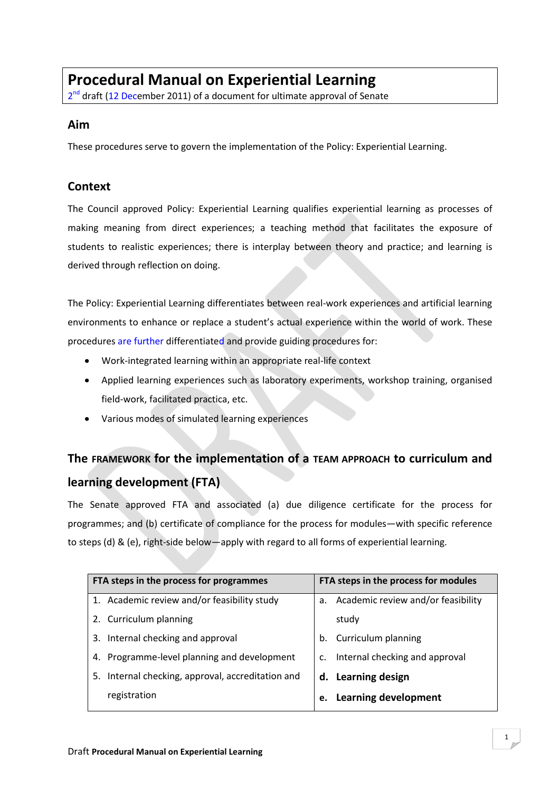# **Procedural Manual on Experiential Learning**

2<sup>nd</sup> draft (12 December 2011) of a document for ultimate approval of Senate

#### **Aim**

These procedures serve to govern the implementation of the Policy: Experiential Learning.

### **Context**

The Council approved Policy: Experiential Learning qualifies experiential learning as processes of making meaning from direct experiences; a teaching method that facilitates the exposure of students to realistic experiences; there is interplay between theory and practice; and learning is derived through reflection on doing.

The Policy: Experiential Learning differentiates between real-work experiences and artificial learning environments to enhance or replace a student's actual experience within the world of work. These procedures are further differentiated and provide guiding procedures for:

- Work-integrated learning within an appropriate real-life context
- Applied learning experiences such as laboratory experiments, workshop training, organised field-work, facilitated practica, etc.
- Various modes of simulated learning experiences

# **The FRAMEWORK for the implementation of a TEAM APPROACH to curriculum and learning development (FTA)**

The Senate approved FTA and associated (a) due diligence certificate for the process for programmes; and (b) certificate of compliance for the process for modules—with specific reference to steps (d) & (e), right-side below—apply with regard to all forms of experiential learning.

| Academic review and/or feasibility |
|------------------------------------|
|                                    |
|                                    |
| Internal checking and approval     |
|                                    |
|                                    |
|                                    |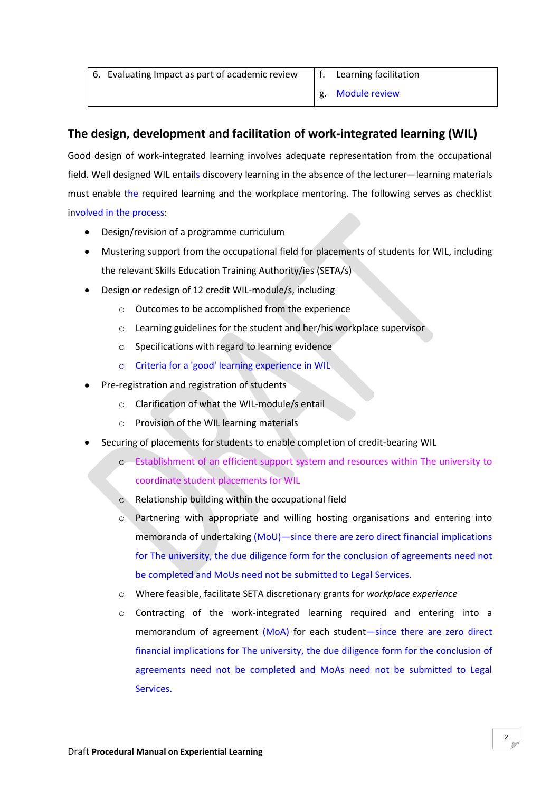| 6. Evaluating Impact as part of academic review $\parallel$ f. Learning facilitation |                  |  |
|--------------------------------------------------------------------------------------|------------------|--|
|                                                                                      | g. Module review |  |

### **The design, development and facilitation of work-integrated learning (WIL)**

Good design of work-integrated learning involves adequate representation from the occupational field. Well designed WIL entails discovery learning in the absence of the lecturer—learning materials must enable the required learning and the workplace mentoring. The following serves as checklist involved in the process:

- Design/revision of a programme curriculum
- Mustering support from the occupational field for placements of students for WIL, including the relevant Skills Education Training Authority/ies (SETA/s)
- Design or redesign of 12 credit WIL-module/s, including
	- o Outcomes to be accomplished from the experience
	- o Learning guidelines for the student and her/his workplace supervisor
	- o Specifications with regard to learning evidence
	- o Criteria for a 'good' learning experience in WIL
- Pre-registration and registration of students
	- o Clarification of what the WIL-module/s entail
	- o Provision of the WIL learning materials
- Securing of placements for students to enable completion of credit-bearing WIL
	- o Establishment of an efficient support system and resources within The university to coordinate student placements for WIL
	- $\circ$  Relationship building within the occupational field
	- o Partnering with appropriate and willing hosting organisations and entering into memoranda of undertaking (MoU)—since there are zero direct financial implications for The university, the due diligence form for the conclusion of agreements need not be completed and MoUs need not be submitted to Legal Services.
	- o Where feasible, facilitate SETA discretionary grants for *workplace experience*
	- o Contracting of the work-integrated learning required and entering into a memorandum of agreement (MoA) for each student—since there are zero direct financial implications for The university, the due diligence form for the conclusion of agreements need not be completed and MoAs need not be submitted to Legal Services.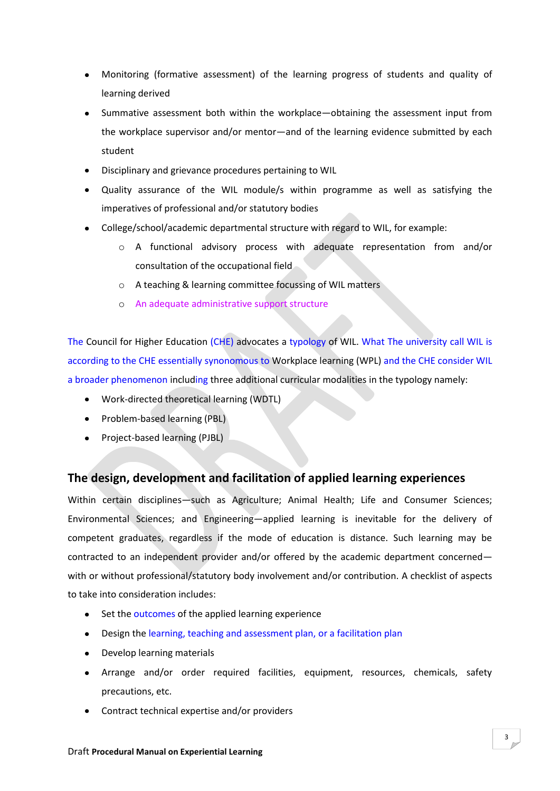- Monitoring (formative assessment) of the learning progress of students and quality of learning derived
- Summative assessment both within the workplace—obtaining the assessment input from the workplace supervisor and/or mentor—and of the learning evidence submitted by each student
- Disciplinary and grievance procedures pertaining to WIL
- Quality assurance of the WIL module/s within programme as well as satisfying the imperatives of professional and/or statutory bodies
- College/school/academic departmental structure with regard to WIL, for example:
	- o A functional advisory process with adequate representation from and/or consultation of the occupational field
	- o A teaching & learning committee focussing of WIL matters
	- o An adequate administrative support structure

The Council for Higher Education (CHE) advocates a typology of WIL. What The university call WIL is according to the CHE essentially synonomous to Workplace learning (WPL) and the CHE consider WIL a broader phenomenon including three additional curricular modalities in the typology namely:

- Work-directed theoretical learning (WDTL)
- Problem-based learning (PBL)
- Project-based learning (PJBL)

### **The design, development and facilitation of applied learning experiences**

Within certain disciplines—such as Agriculture; Animal Health; Life and Consumer Sciences; Environmental Sciences; and Engineering—applied learning is inevitable for the delivery of competent graduates, regardless if the mode of education is distance. Such learning may be contracted to an independent provider and/or offered by the academic department concerned with or without professional/statutory body involvement and/or contribution. A checklist of aspects to take into consideration includes:

- Set the outcomes of the applied learning experience
- Design the learning, teaching and assessment plan, or a facilitation plan
- Develop learning materials
- Arrange and/or order required facilities, equipment, resources, chemicals, safety precautions, etc.
- Contract technical expertise and/or providers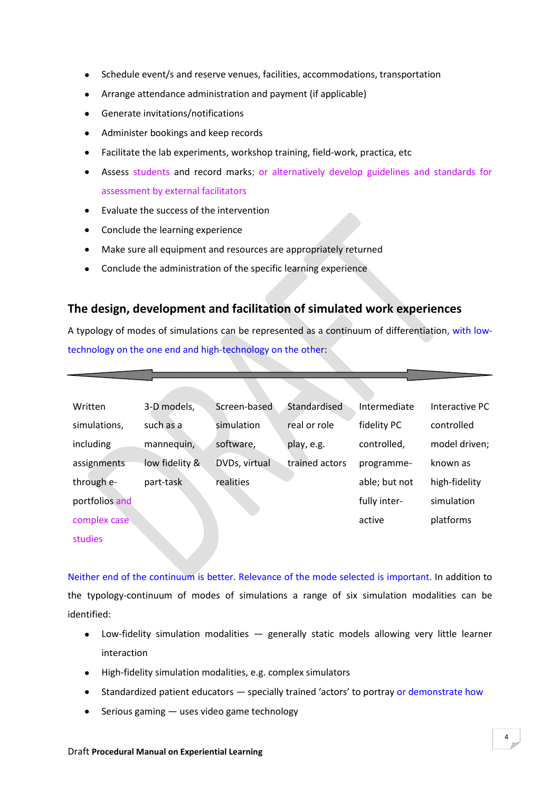- Schedule event/s and reserve venues, facilities, accommodations, transportation  $\bullet$
- Arrange attendance administration and payment (if applicable)
- Generate invitations/notifications  $\bullet$
- Administer bookings and keep records  $\bullet$
- Facilitate the lab experiments, workshop training, field-work, practica, etc  $\bullet$
- Assess students and record marks; or alternatively develop guidelines and standards for assessment by external facilitators
- Evaluate the success of the intervention
- Conclude the learning experience  $\bullet$
- Make sure all equipment and resources are appropriately returned  $\bullet$
- Conclude the administration of the specific learning experience  $\bullet$

#### **The design, development and facilitation of simulated work experiences**

A typology of modes of simulations can be represented as a continuum of differentiation, with lowtechnology on the one end and high-technology on the other:

| Written        | 3-D models,    | Screen-based  | Standardised   | Intermediate  | Interactive PC |
|----------------|----------------|---------------|----------------|---------------|----------------|
| simulations,   | such as a      | simulation    | real or role   | fidelity PC   | controlled     |
| including      | mannequin,     | software,     | play, e.g.     | controlled,   | model driven;  |
| assignments    | low fidelity & | DVDs, virtual | trained actors | programme-    | known as       |
| through e-     | part-task      | realities     |                | able; but not | high-fidelity  |
| portfolios and |                |               |                | fully inter-  | simulation     |
| complex case   |                |               |                | active        | platforms      |
| <b>studies</b> |                |               |                |               |                |

Neither end of the continuum is better. Relevance of the mode selected is important. In addition to the typology-continuum of modes of simulations a range of six simulation modalities can be identified:

- Low-fidelity simulation modalities generally static models allowing very little learner interaction
- High-fidelity simulation modalities, e.g. complex simulators
- Standardized patient educators specially trained 'actors' to portray or demonstrate how  $\bullet$
- Serious gaming uses video game technology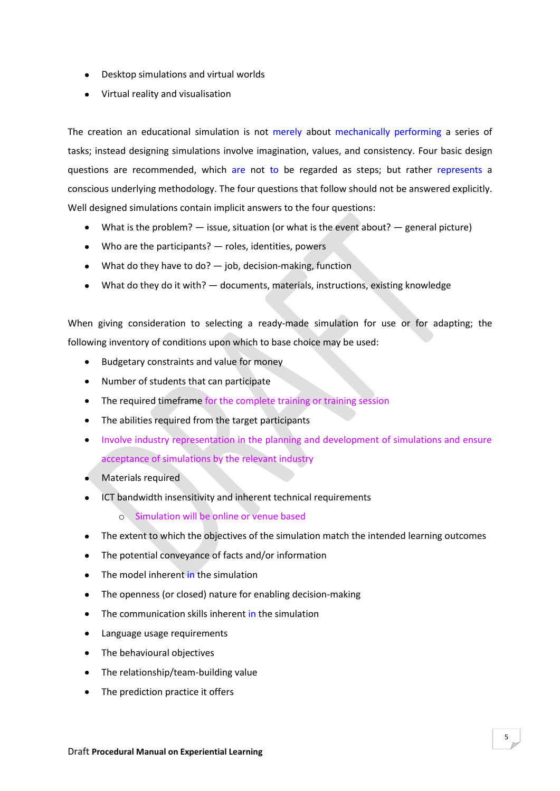- Desktop simulations and virtual worlds
- Virtual reality and visualisation

The creation an educational simulation is not merely about mechanically performing a series of tasks; instead designing simulations involve imagination, values, and consistency. Four basic design questions are recommended, which are not to be regarded as steps; but rather represents a conscious underlying methodology. The four questions that follow should not be answered explicitly. Well designed simulations contain implicit answers to the four questions:

- What is the problem?  $-$  issue, situation (or what is the event about?  $-$  general picture)
- Who are the participants? roles, identities, powers
- What do they have to do?  $-$  job, decision-making, function
- What do they do it with? documents, materials, instructions, existing knowledge

When giving consideration to selecting a ready-made simulation for use or for adapting; the following inventory of conditions upon which to base choice may be used:

- Budgetary constraints and value for money
- Number of students that can participate
- The required timeframe for the complete training or training session
- The abilities required from the target participants
- Involve industry representation in the planning and development of simulations and ensure acceptance of simulations by the relevant industry
- Materials required  $\bullet$  .
- ICT bandwidth insensitivity and inherent technical requirements  $\bullet$ 
	- o Simulation will be online or venue based
- The extent to which the objectives of the simulation match the intended learning outcomes  $\bullet$
- The potential conveyance of facts and/or information  $\bullet$
- The model inherent in the simulation  $\bullet$
- The openness (or closed) nature for enabling decision-making  $\bullet$
- The communication skills inherent in the simulation  $\bullet$
- Language usage requirements
- The behavioural objectives
- The relationship/team-building value
- The prediction practice it offers